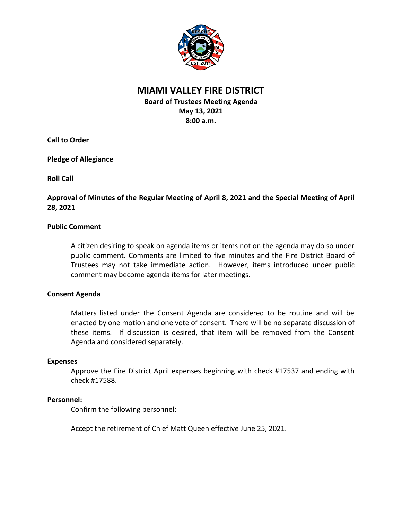

# **MIAMI VALLEY FIRE DISTRICT**

**Board of Trustees Meeting Agenda May 13, 2021 8:00 a.m.**

**Call to Order**

**Pledge of Allegiance**

**Roll Call**

**Approval of Minutes of the Regular Meeting of April 8, 2021 and the Special Meeting of April 28, 2021**

## **Public Comment**

A citizen desiring to speak on agenda items or items not on the agenda may do so under public comment. Comments are limited to five minutes and the Fire District Board of Trustees may not take immediate action. However, items introduced under public comment may become agenda items for later meetings.

## **Consent Agenda**

Matters listed under the Consent Agenda are considered to be routine and will be enacted by one motion and one vote of consent. There will be no separate discussion of these items. If discussion is desired, that item will be removed from the Consent Agenda and considered separately.

## **Expenses**

Approve the Fire District April expenses beginning with check #17537 and ending with check #17588.

## **Personnel:**

Confirm the following personnel:

Accept the retirement of Chief Matt Queen effective June 25, 2021.